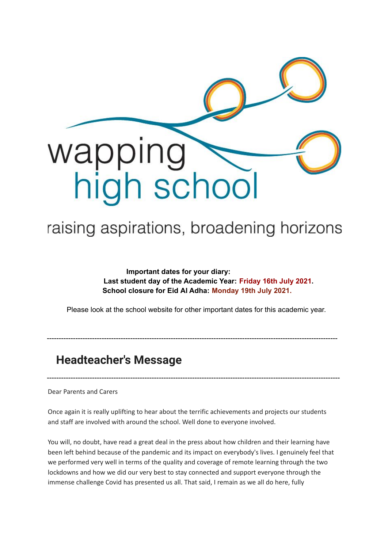

# raising aspirations, broadening horizons

**Important dates for your diary: Last student day of the Academic Year: Friday 16th July 2021. School closure for Eid Al Adha: Monday 19th July 2021.**

Please look at the school website for other important dates for this academic year.

--------------------------------------------------------------------------------------------------------------------------

---------------------------------------------------------------------------------------------------------------------------

# **Headteacher's Message**

Dear Parents and Carers

Once again it is really uplifting to hear about the terrific achievements and projects our students and staff are involved with around the school. Well done to everyone involved.

You will, no doubt, have read a great deal in the press about how children and their learning have been left behind because of the pandemic and its impact on everybody's lives. I genuinely feel that we performed very well in terms of the quality and coverage of remote learning through the two lockdowns and how we did our very best to stay connected and support everyone through the immense challenge Covid has presented us all. That said, I remain as we all do here, fully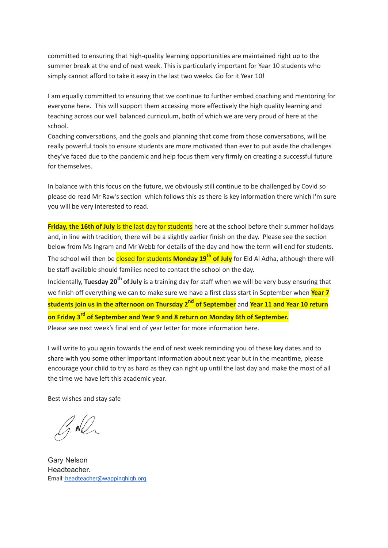committed to ensuring that high-quality learning opportunities are maintained right up to the summer break at the end of next week. This is particularly important for Year 10 students who simply cannot afford to take it easy in the last two weeks. Go for it Year 10!

I am equally committed to ensuring that we continue to further embed coaching and mentoring for everyone here. This will support them accessing more effectively the high quality learning and teaching across our well balanced curriculum, both of which we are very proud of here at the school.

Coaching conversations, and the goals and planning that come from those conversations, will be really powerful tools to ensure students are more motivated than ever to put aside the challenges they've faced due to the pandemic and help focus them very firmly on creating a successful future for themselves.

In balance with this focus on the future, we obviously still continue to be challenged by Covid so please do read Mr Raw's section which follows this as there is key information there which I'm sure you will be very interested to read.

**Friday, the 16th of July** is the last day for students here at the school before their summer holidays and, in line with tradition, there will be a slightly earlier finish on the day. Please see the section below from Ms Ingram and Mr Webb for details of the day and how the term will end for students. The school will then be <mark>closed for students **Monday 19<sup>th</sup> of July** for Eid Al Adha, although there will</mark> be staff available should families need to contact the school on the day.

Incidentally, Tuesday 20<sup>th</sup> of July is a training day for staff when we will be very busy ensuring that we finish off everything we can to make sure we have a first class start in September when **Year 7 students join us in the afternoon on Thursday 2 nd of September** and **Year 11 and Year 10 return on Friday 3 rd of September and Year 9 and 8 return on Monday 6th of September.** Please see next week's final end of year letter for more information here.

I will write to you again towards the end of next week reminding you of these key dates and to share with you some other important information about next year but in the meantime, please encourage your child to try as hard as they can right up until the last day and make the most of all the time we have left this academic year.

Best wishes and stay safe

G. NO

Gary Nelson Headteacher. Email: [headteacher@wappinghigh.org](mailto:headteacher@wappinghigh.org)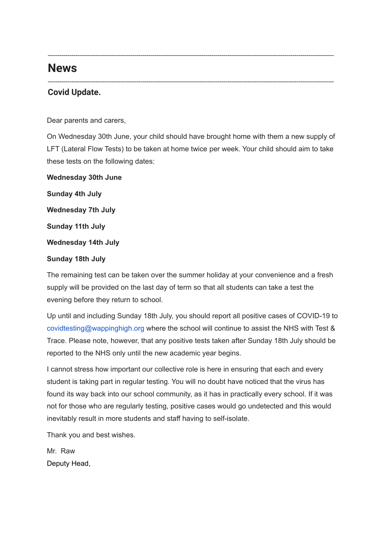# **News**

### **Covid Update.**

Dear parents and carers,

On Wednesday 30th June, your child should have brought home with them a new supply of LFT (Lateral Flow Tests) to be taken at home twice per week. Your child should aim to take these tests on the following dates:

-------------------------------------------------------------------------------------------------------------------------------------------------

-------------------------------------------------------------------------------------------------------------------------------------------------

**Wednesday 30th June Sunday 4th July Wednesday 7th July Sunday 11th July Wednesday 14th July Sunday 18th July**

The remaining test can be taken over the summer holiday at your convenience and a fresh supply will be provided on the last day of term so that all students can take a test the evening before they return to school.

Up until and including Sunday 18th July, you should report all positive cases of COVID-19 to covidtesting@wappinghigh.org where the school will continue to assist the NHS with Test & Trace. Please note, however, that any positive tests taken after Sunday 18th July should be reported to the NHS only until the new academic year begins.

I cannot stress how important our collective role is here in ensuring that each and every student is taking part in regular testing. You will no doubt have noticed that the virus has found its way back into our school community, as it has in practically every school. If it was not for those who are regularly testing, positive cases would go undetected and this would inevitably result in more students and staff having to self-isolate.

Thank you and best wishes.

Mr. Raw Deputy Head,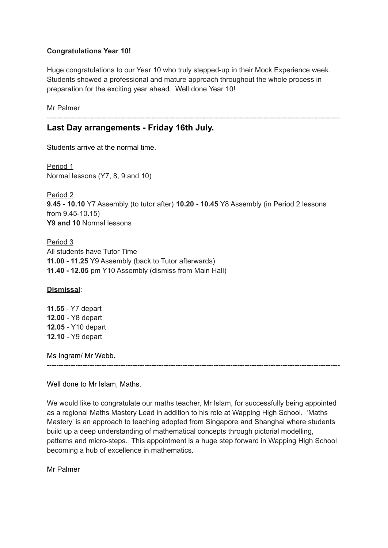#### **Congratulations Year 10!**

Huge congratulations to our Year 10 who truly stepped-up in their Mock Experience week. Students showed a professional and mature approach throughout the whole process in preparation for the exciting year ahead. Well done Year 10!

---------------------------------------------------------------------------------------------------------------------------

Mr Palmer

### **Last Day arrangements - Friday 16th July.**

Students arrive at the normal time.

Period 1 Normal lessons (Y7, 8, 9 and 10)

Period 2 **9.45 - 10.10** Y7 Assembly (to tutor after) **10.20 - 10.45** Y8 Assembly (in Period 2 lessons from 9.45-10.15) **Y9 and 10** Normal lessons

Period 3 All students have Tutor Time **11.00 - 11.25** Y9 Assembly (back to Tutor afterwards) **11.40 - 12.05** pm Y10 Assembly (dismiss from Main Hall)

**Dismissal**:

**11.55** - Y7 depart **12.00** - Y8 depart **12.05** - Y10 depart **12.10** - Y9 depart

Ms Ingram/ Mr Webb.

---------------------------------------------------------------------------------------------------------------------------

Well done to Mr Islam, Maths.

We would like to congratulate our maths teacher, Mr Islam, for successfully being appointed as a regional Maths Mastery Lead in addition to his role at Wapping High School. 'Maths Mastery' is an approach to teaching adopted from Singapore and Shanghai where students build up a deep understanding of mathematical concepts through pictorial modelling, patterns and micro-steps. This appointment is a huge step forward in Wapping High School becoming a hub of excellence in mathematics.

Mr Palmer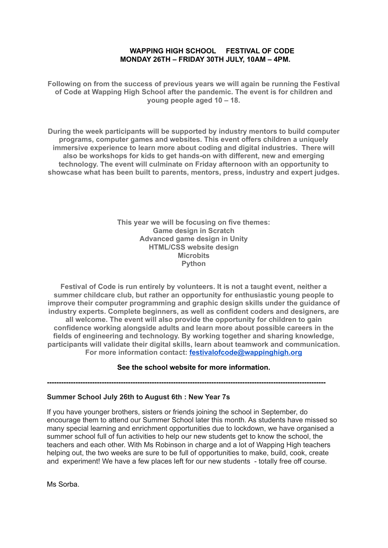#### **WAPPING HIGH SCHOOL FESTIVAL OF CODE MONDAY 26TH – FRIDAY 30TH JULY, 10AM – 4PM.**

**Following on from the success of previous years we will again be running the Festival of Code at Wapping High School after the pandemic. The event is for children and young people aged 10 – 18.**

**During the week participants will be supported by industry mentors to build computer programs, computer games and websites. This event offers children a uniquely immersive experience to learn more about coding and digital industries. There will also be workshops for kids to get hands-on with different, new and emerging technology. The event will culminate on Friday afternoon with an opportunity to showcase what has been built to parents, mentors, press, industry and expert judges.**

> **This year we will be focusing on five themes: Game design in Scratch Advanced game design in Unity HTML/CSS website design Microbits Python**

**Festival of Code is run entirely by volunteers. It is not a taught event, neither a summer childcare club, but rather an opportunity for enthusiastic young people to improve their computer programming and graphic design skills under the guidance of industry experts. Complete beginners, as well as confident coders and designers, are all welcome. The event will also provide the opportunity for children to gain confidence working alongside adults and learn more about possible careers in the fields of engineering and technology. By working together and sharing knowledge, participants will validate their digital skills, learn about teamwork and communication. For more information contact: [festivalofcode@wappinghigh.org](mailto:festivalofcode@wappinghigh.org)**

#### **See the school website for more information.**

**---------------------------------------------------------------------------------------------------------------------**

#### **Summer School July 26th to August 6th : New Year 7s**

If you have younger brothers, sisters or friends joining the school in September, do encourage them to attend our Summer School later this month. As students have missed so many special learning and enrichment opportunities due to lockdown, we have organised a summer school full of fun activities to help our new students get to know the school, the teachers and each other. With Ms Robinson in charge and a lot of Wapping High teachers helping out, the two weeks are sure to be full of opportunities to make, build, cook, create and experiment! We have a few places left for our new students - totally free off course.

Ms Sorba.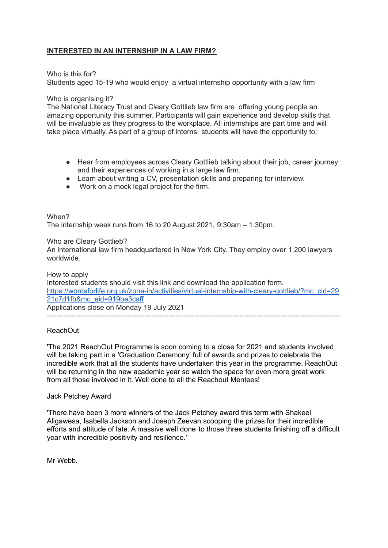#### **INTERESTED IN AN INTERNSHIP IN A LAW FIRM?**

Who is this for?

Students aged 15-19 who would enjoy a virtual internship opportunity with a law firm

#### Who is organising it?

The National Literacy Trust and Cleary Gottlieb law firm are offering young people an amazing opportunity this summer. Participants will gain experience and develop skills that will be invaluable as they progress to the workplace. All internships are part time and will take place virtually. As part of a group of interns, students will have the opportunity to:

- Hear from employees across Cleary Gottlieb talking about their job, career journey and their experiences of working in a large law firm.
- Learn about writing a CV, presentation skills and preparing for interview.
- Work on a mock legal project for the firm.

#### When?

The internship week runs from 16 to 20 August 2021, 9.30am – 1.30pm.

#### Who are Cleary Gottlieb?

An international law firm headquartered in New York City. They employ over 1,200 lawyers worldwide.

How to apply Interested students should visit this link and download the application form. [https://wordsforlife.org.uk/zone-in/activities/virtual-internship-with-cleary-gottlieb/?mc\\_cid=29](https://wordsforlife.org.uk/zone-in/activities/virtual-internship-with-cleary-gottlieb/?mc_cid=2921c7d1fb&mc_eid=919be3caff) [21c7d1fb&mc\\_eid=919be3caff](https://wordsforlife.org.uk/zone-in/activities/virtual-internship-with-cleary-gottlieb/?mc_cid=2921c7d1fb&mc_eid=919be3caff) Applications close on Monday 19 July 2021

---------------------------------------------------------------------------------------------------------------------------

#### ReachOut

'The 2021 ReachOut Programme is soon coming to a close for 2021 and students involved will be taking part in a 'Graduation Ceremony' full of awards and prizes to celebrate the incredible work that all the students have undertaken this year in the programme. ReachOut will be returning in the new academic year so watch the space for even more great work from all those involved in it. Well done to all the Reachout Mentees!

#### Jack Petchey Award

'There have been 3 more winners of the Jack Petchey award this term with Shakeel Aligawesa, Isabella Jackson and Joseph Zeevan scooping the prizes for their incredible efforts and attitude of late. A massive well done to those three students finishing off a difficult year with incredible positivity and resilience.'

Mr Webb.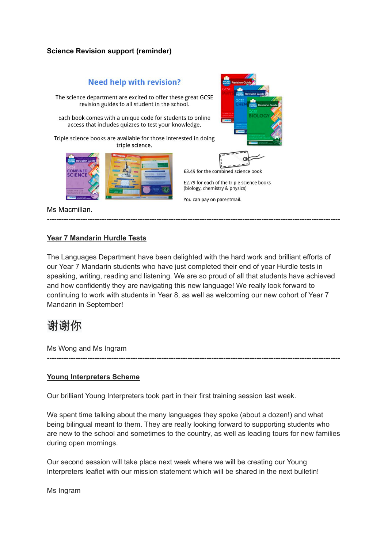#### **Science Revision support (reminder)**

## **Need help with revision?** The science department are excited to offer these great GCSE revision guides to all student in the school. Each book comes with a unique code for students to online access that includes quizzes to test your knowledge. Triple science books are available for those interested in doing triple science. £3.49 for the combined science book £2.79 for each of the triple science books (biology, chemistry & physics) You can pay on parentmail. Ms Macmillan. **---------------------------------------------------------------------------------------------------------------------------**

#### **Year 7 Mandarin Hurdle Tests**

The Languages Department have been delighted with the hard work and brilliant efforts of our Year 7 Mandarin students who have just completed their end of year Hurdle tests in speaking, writing, reading and listening. We are so proud of all that students have achieved and how confidently they are navigating this new language! We really look forward to continuing to work with students in Year 8, as well as welcoming our new cohort of Year 7 Mandarin in September!

# 谢谢你

Ms Wong and Ms Ingram

#### **Young Interpreters Scheme**

Our brilliant Young Interpreters took part in their first training session last week.

We spent time talking about the many languages they spoke (about a dozen!) and what being bilingual meant to them. They are really looking forward to supporting students who are new to the school and sometimes to the country, as well as leading tours for new families during open mornings.

**---------------------------------------------------------------------------------------------------------------------------**

Our second session will take place next week where we will be creating our Young Interpreters leaflet with our mission statement which will be shared in the next bulletin!

Ms Ingram